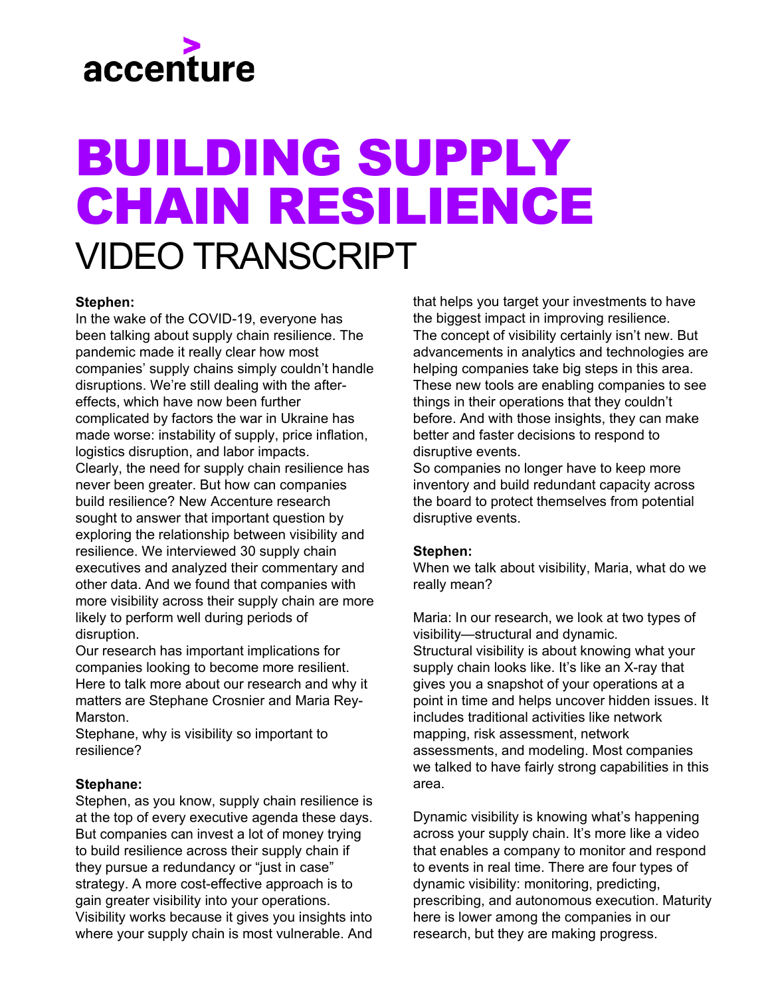

# BUILDING SUPPLY CHAIN RESILIENCE VIDEO TRANSCRIPT

## **Stephen:**

In the wake of the COVID-19, everyone has been talking about supply chain resilience. The pandemic made it really clear how most companies' supply chains simply couldn't handle disruptions. We're still dealing with the aftereffects, which have now been further complicated by factors the war in Ukraine has made worse: instability of supply, price inflation, logistics disruption, and labor impacts. Clearly, the need for supply chain resilience has never been greater. But how can companies build resilience? New Accenture research sought to answer that important question by exploring the relationship between visibility and resilience. We interviewed 30 supply chain executives and analyzed their commentary and other data. And we found that companies with more visibility across their supply chain are more likely to perform well during periods of disruption.

Our research has important implications for companies looking to become more resilient. Here to talk more about our research and why it matters are Stephane Crosnier and Maria Rey-Marston.

Stephane, why is visibility so important to resilience?

### **Stephane:**

Stephen, as you know, supply chain resilience is at the top of every executive agenda these days. But companies can invest a lot of money trying to build resilience across their supply chain if they pursue a redundancy or "just in case" strategy. A more cost-effective approach is to gain greater visibility into your operations. Visibility works because it gives you insights into where your supply chain is most vulnerable. And that helps you target your investments to have the biggest impact in improving resilience. The concept of visibility certainly isn't new. But advancements in analytics and technologies are helping companies take big steps in this area. These new tools are enabling companies to see things in their operations that they couldn't before. And with those insights, they can make better and faster decisions to respond to disruptive events.

So companies no longer have to keep more inventory and build redundant capacity across the board to protect themselves from potential disruptive events.

### **Stephen:**

When we talk about visibility, Maria, what do we really mean?

Maria: In our research, we look at two types of visibility—structural and dynamic. Structural visibility is about knowing what your supply chain looks like. It's like an X-ray that gives you a snapshot of your operations at a point in time and helps uncover hidden issues. It includes traditional activities like network mapping, risk assessment, network assessments, and modeling. Most companies we talked to have fairly strong capabilities in this area.

Dynamic visibility is knowing what's happening across your supply chain. It's more like a video that enables a company to monitor and respond to events in real time. There are four types of dynamic visibility: monitoring, predicting, prescribing, and autonomous execution. Maturity here is lower among the companies in our research, but they are making progress.